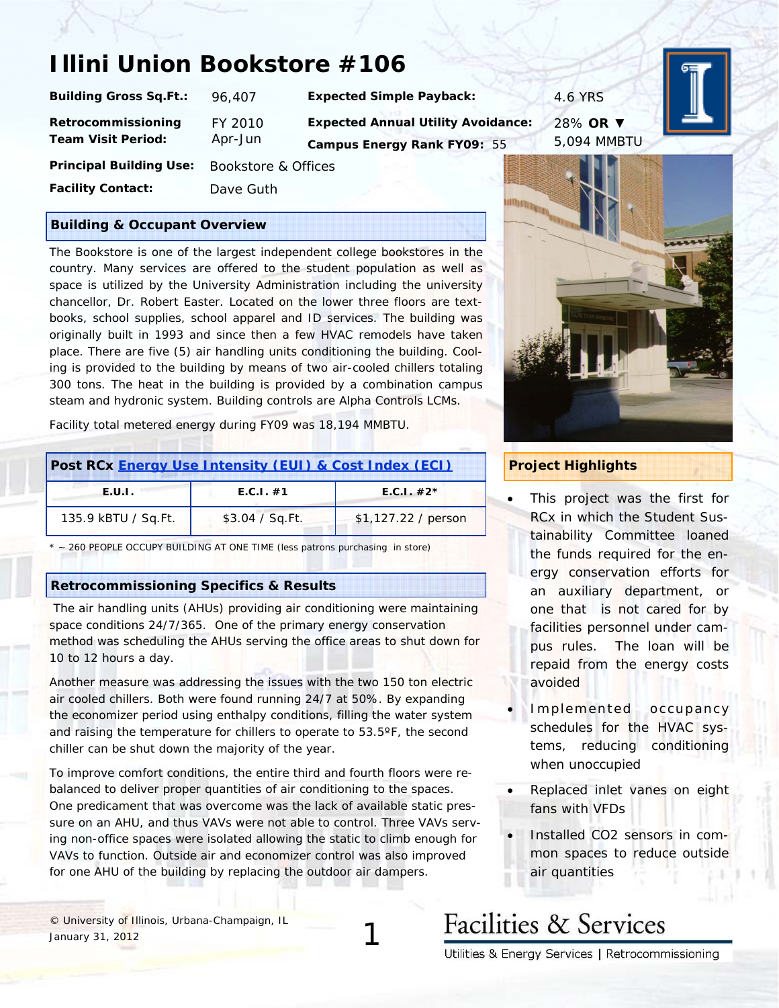### **Illini Union Bookstore #106**

| Building Gross Sq.Ft.:                          | 96.407             |
|-------------------------------------------------|--------------------|
| Retrocommissioning<br><b>Team Visit Period:</b> | FY 2010<br>Apr-Jun |
| <b>Principal Building Use:</b>                  | <b>Bookstor</b>    |

**Building Gross School Expected Simple Payback: 96,407 PMS Expected Annual Utility Avoidance: Campus Energy Rank FY09:** 55

28% **OR** ▼ 5,094 MMBTU



tore & Offices

**Facility Contact:** Dave Guth

#### **Building & Occupant Overview**

The Bookstore is one of the largest independent college bookstores in the country. Many services are offered to the student population as well as space is utilized by the University Administration including the university chancellor, Dr. Robert Easter. Located on the lower three floors are textbooks, school supplies, school apparel and ID services. The building was originally built in 1993 and since then a few HVAC remodels have taken place. There are five (5) air handling units conditioning the building. Cooling is provided to the building by means of two air-cooled chillers totaling 300 tons. The heat in the building is provided by a combination campus steam and hydronic system. Building controls are Alpha Controls LCMs.

Facility total metered energy during FY09 was 18,194 MMBTU.

| Post RCx Energy Use Intensity (EUI) & Cost Index (ECI) |                 |                     |
|--------------------------------------------------------|-----------------|---------------------|
| E.U.L.                                                 | E.C.1. #1       | $E.C.1. #2*$        |
| 135.9 kBTU / Sq.Ft.                                    | \$3.04 / Sq.Ft. | \$1,127.22 / person |

*\* ~ 260 PEOPLE OCCUPY BUILDING AT ONE TIME (less patrons purchasing in store)* 

#### **Retrocommissioning Specifics & Results**

 The air handling units (AHUs) providing air conditioning were maintaining space conditions 24/7/365. One of the primary energy conservation method was scheduling the AHUs serving the office areas to shut down for 10 to 12 hours a day.

Another measure was addressing the issues with the two 150 ton electric air cooled chillers. Both were found running 24/7 at 50%. By expanding the economizer period using enthalpy conditions, filling the water system and raising the temperature for chillers to operate to 53.5ºF, the second chiller can be shut down the majority of the year.

To improve comfort conditions, the entire third and fourth floors were rebalanced to deliver proper quantities of air conditioning to the spaces. One predicament that was overcome was the lack of available static pressure on an AHU, and thus VAVs were not able to control. Three VAVs serving non-office spaces were isolated allowing the static to climb enough for VAVs to function. Outside air and economizer control was also improved for one AHU of the building by replacing the outdoor air dampers.

© University of Illinois, Urbana-Champaign, IL January 31, 2012



#### **Project Highlights**

- This project was the first for RCx in which the Student Sustainability Committee loaned the funds required for the energy conservation efforts for an auxiliary department, or one that is not cared for by facilities personnel under campus rules. The loan will be repaid from the energy costs avoided
- Implemented occupancy schedules for the HVAC systems, reducing conditioning when unoccupied
- Replaced inlet vanes on eight fans with VFDs
- Installed CO2 sensors in common spaces to reduce outside air quantities

# **Facilities & Services**

1